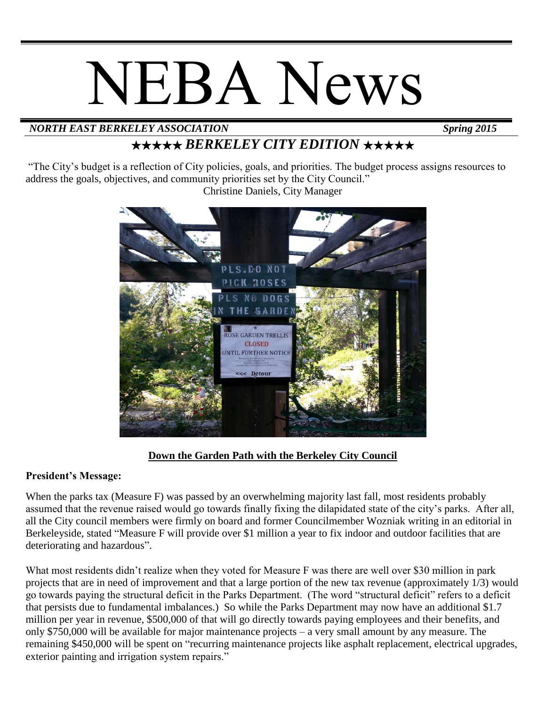# NEBA News

# *NORTH EAST BERKELEY ASSOCIATION Spring 2015*

# ★★★★★ *BERKELEY CITY EDITION* ★★★★★

"The City's budget is a reflection of City policies, goals, and priorities. The budget process assigns resources to address the goals, objectives, and community priorities set by the City Council."

Christine Daniels, City Manager



### **Down the Garden Path with the Berkeley City Council**

#### **President's Message:**

When the parks tax (Measure F) was passed by an overwhelming majority last fall, most residents probably assumed that the revenue raised would go towards finally fixing the dilapidated state of the city's parks. After all, all the City council members were firmly on board and former Councilmember Wozniak writing in an editorial in Berkeleyside, stated "Measure F will provide over \$1 million a year to fix indoor and outdoor facilities that are deteriorating and hazardous".

What most residents didn't realize when they voted for Measure F was there are well over \$30 million in park projects that are in need of improvement and that a large portion of the new tax revenue (approximately 1/3) would go towards paying the structural deficit in the Parks Department. (The word "structural deficit" refers to a deficit that persists due to fundamental imbalances.) So while the Parks Department may now have an additional \$1.7 million per year in revenue, \$500,000 of that will go directly towards paying employees and their benefits, and only \$750,000 will be available for major maintenance projects – a very small amount by any measure. The remaining \$450,000 will be spent on "recurring maintenance projects like asphalt replacement, electrical upgrades, exterior painting and irrigation system repairs."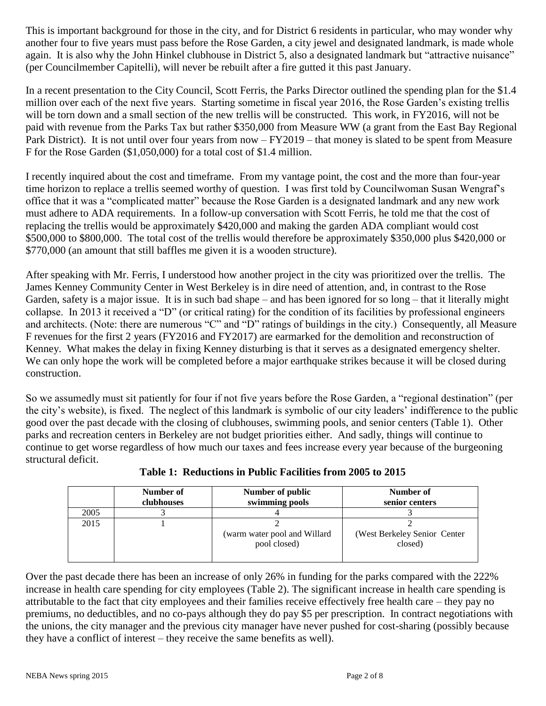This is important background for those in the city, and for District 6 residents in particular, who may wonder why another four to five years must pass before the Rose Garden, a city jewel and designated landmark, is made whole again. It is also why the John Hinkel clubhouse in District 5, also a designated landmark but "attractive nuisance" (per Councilmember Capitelli), will never be rebuilt after a fire gutted it this past January.

In a recent presentation to the City Council, Scott Ferris, the Parks Director outlined the spending plan for the \$1.4 million over each of the next five years. Starting sometime in fiscal year 2016, the Rose Garden's existing trellis will be torn down and a small section of the new trellis will be constructed. This work, in FY2016, will not be paid with revenue from the Parks Tax but rather \$350,000 from Measure WW (a grant from the East Bay Regional Park District). It is not until over four years from now – FY2019 – that money is slated to be spent from Measure F for the Rose Garden (\$1,050,000) for a total cost of \$1.4 million.

I recently inquired about the cost and timeframe. From my vantage point, the cost and the more than four-year time horizon to replace a trellis seemed worthy of question. I was first told by Councilwoman Susan Wengraf's office that it was a "complicated matter" because the Rose Garden is a designated landmark and any new work must adhere to ADA requirements. In a follow-up conversation with Scott Ferris, he told me that the cost of replacing the trellis would be approximately \$420,000 and making the garden ADA compliant would cost \$500,000 to \$800,000. The total cost of the trellis would therefore be approximately \$350,000 plus \$420,000 or \$770,000 (an amount that still baffles me given it is a wooden structure).

After speaking with Mr. Ferris, I understood how another project in the city was prioritized over the trellis. The James Kenney Community Center in West Berkeley is in dire need of attention, and, in contrast to the Rose Garden, safety is a major issue. It is in such bad shape – and has been ignored for so long – that it literally might collapse. In 2013 it received a "D" (or critical rating) for the condition of its facilities by professional engineers and architects. (Note: there are numerous "C" and "D" ratings of buildings in the city.) Consequently, all Measure F revenues for the first 2 years (FY2016 and FY2017) are earmarked for the demolition and reconstruction of Kenney. What makes the delay in fixing Kenney disturbing is that it serves as a designated emergency shelter. We can only hope the work will be completed before a major earthquake strikes because it will be closed during construction.

So we assumedly must sit patiently for four if not five years before the Rose Garden, a "regional destination" (per the city's website), is fixed. The neglect of this landmark is symbolic of our city leaders' indifference to the public good over the past decade with the closing of clubhouses, swimming pools, and senior centers (Table 1). Other parks and recreation centers in Berkeley are not budget priorities either. And sadly, things will continue to continue to get worse regardless of how much our taxes and fees increase every year because of the burgeoning structural deficit.

|      | Number of<br>clubhouses | Number of public<br>swimming pools           | Number of<br>senior centers             |
|------|-------------------------|----------------------------------------------|-----------------------------------------|
| 2005 |                         |                                              |                                         |
| 2015 |                         | (warm water pool and Willard<br>pool closed) | (West Berkeley Senior Center<br>closed) |

**Table 1: Reductions in Public Facilities from 2005 to 2015**

Over the past decade there has been an increase of only 26% in funding for the parks compared with the 222% increase in health care spending for city employees (Table 2). The significant increase in health care spending is attributable to the fact that city employees and their families receive effectively free health care – they pay no premiums, no deductibles, and no co-pays although they do pay \$5 per prescription. In contract negotiations with the unions, the city manager and the previous city manager have never pushed for cost-sharing (possibly because they have a conflict of interest – they receive the same benefits as well).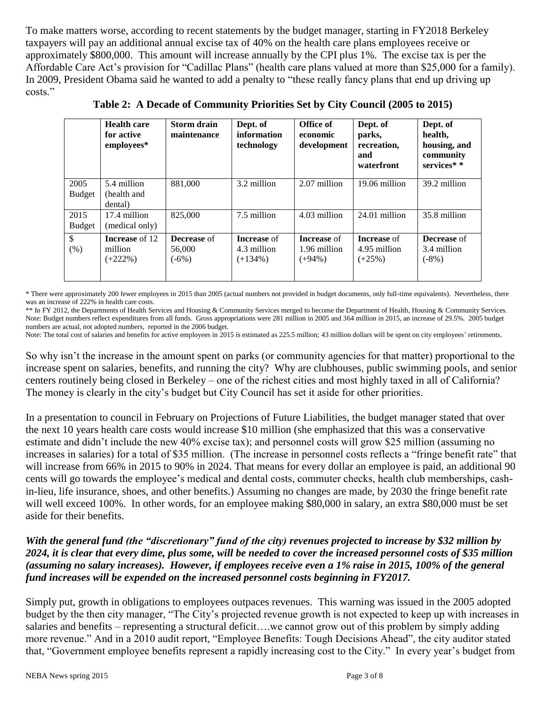To make matters worse, according to recent statements by the budget manager, starting in FY2018 Berkeley taxpayers will pay an additional annual excise tax of 40% on the health care plans employees receive or approximately \$800,000. This amount will increase annually by the CPI plus 1%. The excise tax is per the Affordable Care Act's provision for "Cadillac Plans" (health care plans valued at more than \$25,000 for a family). In 2009, President Obama said he wanted to add a penalty to "these really fancy plans that end up driving up costs."

|                       | <b>Health care</b><br>for active<br>employees* | Storm drain<br>maintenance              | Dept. of<br>information<br>technology           | Office of<br>economic<br>development            | Dept. of<br>parks,<br>recreation,<br>and<br>waterfront | Dept. of<br>health,<br>housing, and<br>community<br>services* * |
|-----------------------|------------------------------------------------|-----------------------------------------|-------------------------------------------------|-------------------------------------------------|--------------------------------------------------------|-----------------------------------------------------------------|
| 2005<br><b>Budget</b> | 5.4 million<br>(health and<br>dental)          | 881,000                                 | 3.2 million                                     | 2.07 million                                    | 19.06 million                                          | 39.2 million                                                    |
| 2015<br><b>Budget</b> | 17.4 million<br>(medical only)                 | 825,000                                 | 7.5 million                                     | 4.03 million                                    | 24.01 million                                          | 35.8 million                                                    |
| $\mathbb{S}$<br>(% )  | <b>Increase</b> of 12<br>million<br>$(+222\%)$ | <b>Decrease</b> of<br>56,000<br>$(-6%)$ | <b>Increase</b> of<br>4.3 million<br>$(+134\%)$ | <b>Increase</b> of<br>1.96 million<br>$(+94\%)$ | <b>Increase</b> of<br>4.95 million<br>$(+25%)$         | <b>Decrease</b> of<br>3.4 million<br>$(-8%)$                    |

**Table 2: A Decade of Community Priorities Set by City Council (2005 to 2015)**

\* There were approximately 200 fewer employees in 2015 than 2005 (actual numbers not provided in budget documents, only full-time equivalents). Nevertheless, there was an increase of 222% in health care costs.

\*\* In FY 2012, the Departments of Health Services and Housing & Community Services merged to become the Department of Health, Housing & Community Services. Note: Budget numbers reflect expenditures from all funds. Gross appropriations were 281 million in 2005 and 364 million in 2015, an increase of 29.5%. 2005 budget numbers are actual, not adopted numbers, reported in the 2006 budget.

Note: The total cost of salaries and benefits for active employees in 2015 is estimated as 225.5 million; 43 million dollars will be spent on city employees' retirements.

So why isn't the increase in the amount spent on parks (or community agencies for that matter) proportional to the increase spent on salaries, benefits, and running the city? Why are clubhouses, public swimming pools, and senior centers routinely being closed in Berkeley – one of the richest cities and most highly taxed in all of California? The money is clearly in the city's budget but City Council has set it aside for other priorities.

In a presentation to council in February on Projections of Future Liabilities, the budget manager stated that over the next 10 years health care costs would increase \$10 million (she emphasized that this was a conservative estimate and didn't include the new 40% excise tax); and personnel costs will grow \$25 million (assuming no increases in salaries) for a total of \$35 million. (The increase in personnel costs reflects a "fringe benefit rate" that will increase from 66% in 2015 to 90% in 2024. That means for every dollar an employee is paid, an additional 90 cents will go towards the employee's medical and dental costs, commuter checks, health club memberships, cashin-lieu, life insurance, shoes, and other benefits.) Assuming no changes are made, by 2030 the fringe benefit rate will well exceed 100%. In other words, for an employee making \$80,000 in salary, an extra \$80,000 must be set aside for their benefits.

#### *With the general fund (the "discretionary" fund of the city) revenues projected to increase by \$32 million by 2024, it is clear that every dime, plus some, will be needed to cover the increased personnel costs of \$35 million (assuming no salary increases). However, if employees receive even a 1% raise in 2015, 100% of the general fund increases will be expended on the increased personnel costs beginning in FY2017.*

Simply put, growth in obligations to employees outpaces revenues. This warning was issued in the 2005 adopted budget by the then city manager, "The City's projected revenue growth is not expected to keep up with increases in salaries and benefits – representing a structural deficit….we cannot grow out of this problem by simply adding more revenue." And in a 2010 audit report, "Employee Benefits: Tough Decisions Ahead", the city auditor stated that, "Government employee benefits represent a rapidly increasing cost to the City." In every year's budget from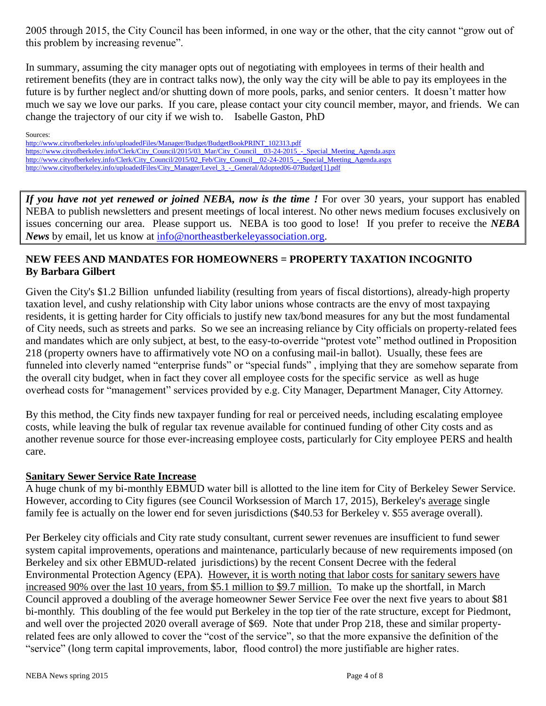2005 through 2015, the City Council has been informed, in one way or the other, that the city cannot "grow out of this problem by increasing revenue".

In summary, assuming the city manager opts out of negotiating with employees in terms of their health and retirement benefits (they are in contract talks now), the only way the city will be able to pay its employees in the future is by further neglect and/or shutting down of more pools, parks, and senior centers. It doesn't matter how much we say we love our parks. If you care, please contact your city council member, mayor, and friends. We can change the trajectory of our city if we wish to. Isabelle Gaston, PhD

Sources: [http://www.cityofberkeley.info/uploadedFiles/Manager/Budget/BudgetBookPRINT\\_102313.pdf](http://www.cityofberkeley.info/uploadedFiles/Manager/Budget/BudgetBookPRINT_102313.pdf) https://www.cityofberkeley.info/Clerk/City\_Council/2015/03\_Mar/City\_Council\_03-24-2015\_-\_Special\_Meeting\_Agenda.aspx http://www.cityofberkeley.info/Clerk/City\_Council/2015/02\_Feb/City\_Council\_02-24-2015\_-\_Special\_Meeting\_Agenda.aspx http://www.cityofberkeley.info/uploadedFiles/City\_Manager/Level 3 - General/Adopted06-07Budget[1].pdf

*If you have not yet renewed or joined NEBA, now is the time !* For over 30 years, your support has enabled NEBA to publish newsletters and present meetings of local interest. No other news medium focuses exclusively on issues concerning our area. Please support us. NEBA is too good to lose! If you prefer to receive the *NEBA News* by email, let us know at [info@northeastberkeleyassociation.org.](mailto:info@northeastberkeleyassociation.org)

#### **NEW FEES AND MANDATES FOR HOMEOWNERS = PROPERTY TAXATION INCOGNITO By Barbara Gilbert**

Given the City's \$1.2 Billion unfunded liability (resulting from years of fiscal distortions), already-high property taxation level, and cushy relationship with City labor unions whose contracts are the envy of most taxpaying residents, it is getting harder for City officials to justify new tax/bond measures for any but the most fundamental of City needs, such as streets and parks. So we see an increasing reliance by City officials on property-related fees and mandates which are only subject, at best, to the easy-to-override "protest vote" method outlined in Proposition 218 (property owners have to affirmatively vote NO on a confusing mail-in ballot). Usually, these fees are funneled into cleverly named "enterprise funds" or "special funds", implying that they are somehow separate from the overall city budget, when in fact they cover all employee costs for the specific service as well as huge overhead costs for "management" services provided by e.g. City Manager, Department Manager, City Attorney.

By this method, the City finds new taxpayer funding for real or perceived needs, including escalating employee costs, while leaving the bulk of regular tax revenue available for continued funding of other City costs and as another revenue source for those ever-increasing employee costs, particularly for City employee PERS and health care.

#### **Sanitary Sewer Service Rate Increase**

A huge chunk of my bi-monthly EBMUD water bill is allotted to the line item for City of Berkeley Sewer Service. However, according to City figures (see Council Worksession of March 17, 2015), Berkeley's average single family fee is actually on the lower end for seven jurisdictions (\$40.53 for Berkeley v. \$55 average overall).

Per Berkeley city officials and City rate study consultant, current sewer revenues are insufficient to fund sewer system capital improvements, operations and maintenance, particularly because of new requirements imposed (on Berkeley and six other EBMUD-related jurisdictions) by the recent Consent Decree with the federal Environmental Protection Agency (EPA). However, it is worth noting that labor costs for sanitary sewers have increased 90% over the last 10 years, from \$5.1 million to \$9.7 million. To make up the shortfall, in March Council approved a doubling of the average homeowner Sewer Service Fee over the next five years to about \$81 bi-monthly. This doubling of the fee would put Berkeley in the top tier of the rate structure, except for Piedmont, and well over the projected 2020 overall average of \$69. Note that under Prop 218, these and similar propertyrelated fees are only allowed to cover the "cost of the service", so that the more expansive the definition of the "service" (long term capital improvements, labor, flood control) the more justifiable are higher rates.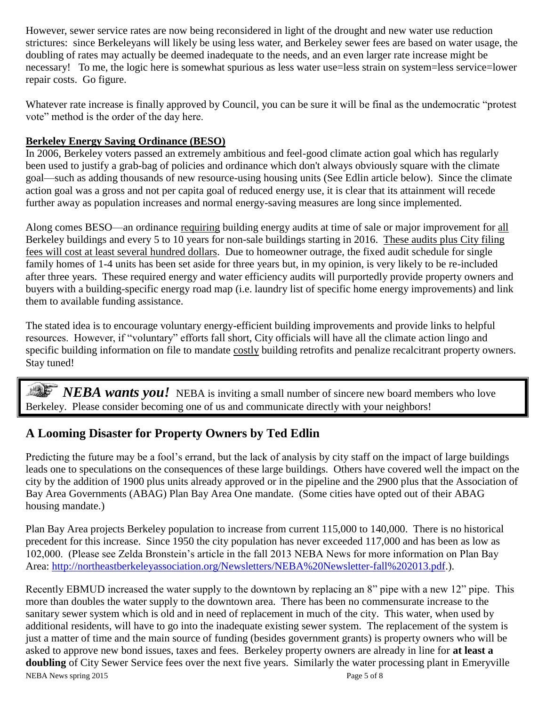However, sewer service rates are now being reconsidered in light of the drought and new water use reduction strictures: since Berkeleyans will likely be using less water, and Berkeley sewer fees are based on water usage, the doubling of rates may actually be deemed inadequate to the needs, and an even larger rate increase might be necessary! To me, the logic here is somewhat spurious as less water use=less strain on system=less service=lower repair costs. Go figure.

Whatever rate increase is finally approved by Council, you can be sure it will be final as the undemocratic "protest" vote" method is the order of the day here.

#### **Berkeley Energy Saving Ordinance (BESO)**

In 2006, Berkeley voters passed an extremely ambitious and feel-good climate action goal which has regularly been used to justify a grab-bag of policies and ordinance which don't always obviously square with the climate goal—such as adding thousands of new resource-using housing units (See Edlin article below). Since the climate action goal was a gross and not per capita goal of reduced energy use, it is clear that its attainment will recede further away as population increases and normal energy-saving measures are long since implemented.

Along comes BESO—an ordinance requiring building energy audits at time of sale or major improvement for all Berkeley buildings and every 5 to 10 years for non-sale buildings starting in 2016. These audits plus City filing fees will cost at least several hundred dollars. Due to homeowner outrage, the fixed audit schedule for single family homes of 1-4 units has been set aside for three years but, in my opinion, is very likely to be re-included after three years. These required energy and water efficiency audits will purportedly provide property owners and buyers with a building-specific energy road map (i.e. laundry list of specific home energy improvements) and link them to available funding assistance.

The stated idea is to encourage voluntary energy-efficient building improvements and provide links to helpful resources. However, if "voluntary" efforts fall short, City officials will have all the climate action lingo and specific building information on file to mandate costly building retrofits and penalize recalcitrant property owners. Stay tuned!

*NEBA wants you!* NEBA is inviting a small number of sincere new board members who love Berkeley. Please consider becoming one of us and communicate directly with your neighbors!

# **A Looming Disaster for Property Owners by Ted Edlin**

Predicting the future may be a fool's errand, but the lack of analysis by city staff on the impact of large buildings leads one to speculations on the consequences of these large buildings. Others have covered well the impact on the city by the addition of 1900 plus units already approved or in the pipeline and the 2900 plus that the Association of Bay Area Governments (ABAG) Plan Bay Area One mandate. (Some cities have opted out of their ABAG housing mandate.)

Plan Bay Area projects Berkeley population to increase from current 115,000 to 140,000. There is no historical precedent for this increase. Since 1950 the city population has never exceeded 117,000 and has been as low as 102,000. (Please see Zelda Bronstein's article in the fall 2013 NEBA News for more information on Plan Bay Area: http://northeastberkeleyassociation.org/Newsletters/NEBA%20Newsletter-fall%202013.pdf.).

NEBA News spring 2015 **Page 5 of 8** Recently EBMUD increased the water supply to the downtown by replacing an 8" pipe with a new 12" pipe. This more than doubles the water supply to the downtown area. There has been no commensurate increase to the sanitary sewer system which is old and in need of replacement in much of the city. This water, when used by additional residents, will have to go into the inadequate existing sewer system. The replacement of the system is just a matter of time and the main source of funding (besides government grants) is property owners who will be asked to approve new bond issues, taxes and fees. Berkeley property owners are already in line for **at least a doubling** of City Sewer Service fees over the next five years. Similarly the water processing plant in Emeryville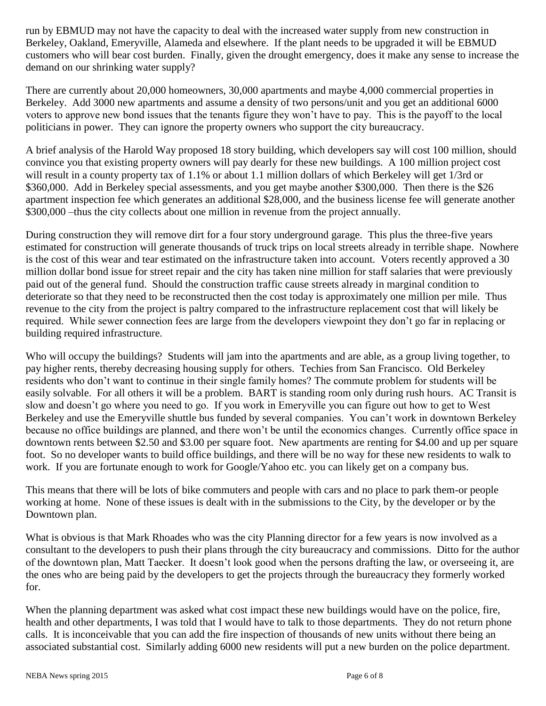run by EBMUD may not have the capacity to deal with the increased water supply from new construction in Berkeley, Oakland, Emeryville, Alameda and elsewhere. If the plant needs to be upgraded it will be EBMUD customers who will bear cost burden. Finally, given the drought emergency, does it make any sense to increase the demand on our shrinking water supply?

There are currently about 20,000 homeowners, 30,000 apartments and maybe 4,000 commercial properties in Berkeley. Add 3000 new apartments and assume a density of two persons/unit and you get an additional 6000 voters to approve new bond issues that the tenants figure they won't have to pay. This is the payoff to the local politicians in power. They can ignore the property owners who support the city bureaucracy.

A brief analysis of the Harold Way proposed 18 story building, which developers say will cost 100 million, should convince you that existing property owners will pay dearly for these new buildings. A 100 million project cost will result in a county property tax of 1.1% or about 1.1 million dollars of which Berkeley will get 1/3rd or \$360,000. Add in Berkeley special assessments, and you get maybe another \$300,000. Then there is the \$26 apartment inspection fee which generates an additional \$28,000, and the business license fee will generate another \$300,000 –thus the city collects about one million in revenue from the project annually.

During construction they will remove dirt for a four story underground garage. This plus the three-five years estimated for construction will generate thousands of truck trips on local streets already in terrible shape. Nowhere is the cost of this wear and tear estimated on the infrastructure taken into account. Voters recently approved a 30 million dollar bond issue for street repair and the city has taken nine million for staff salaries that were previously paid out of the general fund. Should the construction traffic cause streets already in marginal condition to deteriorate so that they need to be reconstructed then the cost today is approximately one million per mile. Thus revenue to the city from the project is paltry compared to the infrastructure replacement cost that will likely be required. While sewer connection fees are large from the developers viewpoint they don't go far in replacing or building required infrastructure.

Who will occupy the buildings? Students will jam into the apartments and are able, as a group living together, to pay higher rents, thereby decreasing housing supply for others. Techies from San Francisco. Old Berkeley residents who don't want to continue in their single family homes? The commute problem for students will be easily solvable. For all others it will be a problem. BART is standing room only during rush hours. AC Transit is slow and doesn't go where you need to go. If you work in Emeryville you can figure out how to get to West Berkeley and use the Emeryville shuttle bus funded by several companies. You can't work in downtown Berkeley because no office buildings are planned, and there won't be until the economics changes. Currently office space in downtown rents between \$2.50 and \$3.00 per square foot. New apartments are renting for \$4.00 and up per square foot. So no developer wants to build office buildings, and there will be no way for these new residents to walk to work. If you are fortunate enough to work for Google/Yahoo etc. you can likely get on a company bus.

This means that there will be lots of bike commuters and people with cars and no place to park them-or people working at home. None of these issues is dealt with in the submissions to the City, by the developer or by the Downtown plan.

What is obvious is that Mark Rhoades who was the city Planning director for a few years is now involved as a consultant to the developers to push their plans through the city bureaucracy and commissions. Ditto for the author of the downtown plan, Matt Taecker. It doesn't look good when the persons drafting the law, or overseeing it, are the ones who are being paid by the developers to get the projects through the bureaucracy they formerly worked for.

When the planning department was asked what cost impact these new buildings would have on the police, fire, health and other departments, I was told that I would have to talk to those departments. They do not return phone calls. It is inconceivable that you can add the fire inspection of thousands of new units without there being an associated substantial cost. Similarly adding 6000 new residents will put a new burden on the police department.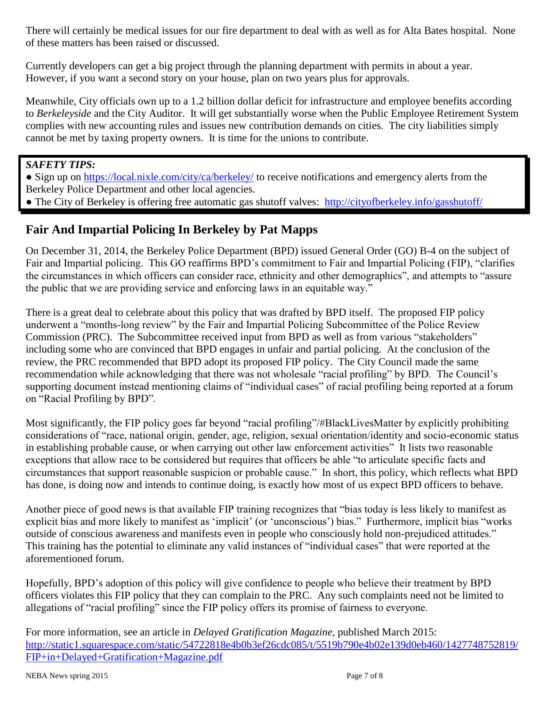There will certainly be medical issues for our fire department to deal with as well as for Alta Bates hospital. None of these matters has been raised or discussed.

Currently developers can get a big project through the planning department with permits in about a year. However, if you want a second story on your house, plan on two years plus for approvals.

Meanwhile, City officials own up to a 1.2 billion dollar deficit for infrastructure and employee benefits according to *Berkeleyside* and the City Auditor. It will get substantially worse when the Public Employee Retirement System complies with new accounting rules and issues new contribution demands on cities. The city liabilities simply cannot be met by taxing property owners. It is time for the unions to contribute.

*SAFETY TIPS:* 

• Sign up on<https://local.nixle.com/city/ca/berkeley/> to receive notifications and emergency alerts from the Berkeley Police Department and other local agencies.

• The City of Berkeley is offering free automatic gas shutoff valves: <http://cityofberkeley.info/gasshutoff/>

# **Fair And Impartial Policing In Berkeley by Pat Mapps**

On December 31, 2014, the Berkeley Police Department (BPD) issued General Order (GO) B-4 on the subject of Fair and Impartial policing. This GO reaffirms BPD's commitment to Fair and Impartial Policing (FIP), "clarifies the circumstances in which officers can consider race, ethnicity and other demographics", and attempts to "assure the public that we are providing service and enforcing laws in an equitable way."

There is a great deal to celebrate about this policy that was drafted by BPD itself. The proposed FIP policy underwent a "months-long review" by the Fair and Impartial Policing Subcommittee of the Police Review Commission (PRC). The Subcommittee received input from BPD as well as from various "stakeholders" including some who are convinced that BPD engages in unfair and partial policing. At the conclusion of the review, the PRC recommended that BPD adopt its proposed FIP policy. The City Council made the same recommendation while acknowledging that there was not wholesale "racial profiling" by BPD. The Council's supporting document instead mentioning claims of "individual cases" of racial profiling being reported at a forum on "Racial Profiling by BPD".

Most significantly, the FIP policy goes far beyond "racial profiling"/#BlackLivesMatter by explicitly prohibiting considerations of "race, national origin, gender, age, religion, sexual orientation/identity and socio-economic status in establishing probable cause, or when carrying out other law enforcement activities" It lists two reasonable exceptions that allow race to be considered but requires that officers be able "to articulate specific facts and circumstances that support reasonable suspicion or probable cause." In short, this policy, which reflects what BPD has done, is doing now and intends to continue doing, is exactly how most of us expect BPD officers to behave.

Another piece of good news is that available FIP training recognizes that "bias today is less likely to manifest as explicit bias and more likely to manifest as 'implicit' (or 'unconscious') bias." Furthermore, implicit bias "works outside of conscious awareness and manifests even in people who consciously hold non-prejudiced attitudes." This training has the potential to eliminate any valid instances of "individual cases" that were reported at the aforementioned forum.

Hopefully, BPD's adoption of this policy will give confidence to people who believe their treatment by BPD officers violates this FIP policy that they can complain to the PRC. Any such complaints need not be limited to allegations of "racial profiling" since the FIP policy offers its promise of fairness to everyone.

For more information, see an article in *Delayed Gratification Magazine,* published March 2015: [http://static1.squarespace.com/static/54722818e4b0b3ef26cdc085/t/5519b790e4b02e139d0eb460/1427748752819/](http://static1.squarespace.com/static/54722818e4b0b3ef26cdc085/t/5519b790e4b02e139d0eb460/1427748752819/FIP+in+Delayed+Gratification+Magazine.pdf) [FIP+in+Delayed+Gratification+Magazine.pdf](http://static1.squarespace.com/static/54722818e4b0b3ef26cdc085/t/5519b790e4b02e139d0eb460/1427748752819/FIP+in+Delayed+Gratification+Magazine.pdf)